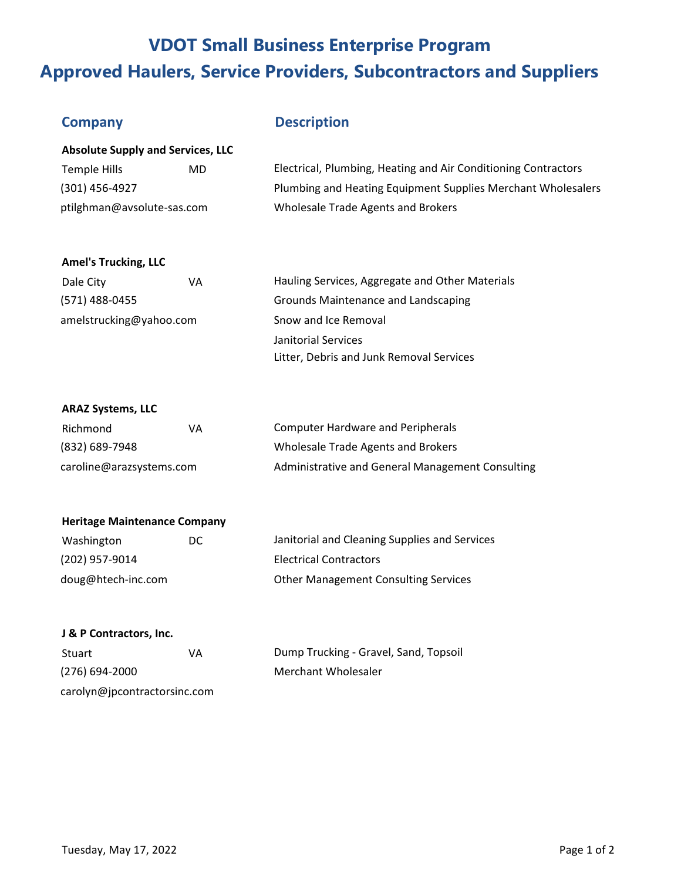## **VDOT Small Business Enterprise Program Approved Haulers, Service Providers, Subcontractors and Suppliers**

### **Company Description**

| <b>Absolute Supply and Services, LLC</b> |     |                                                                |  |
|------------------------------------------|-----|----------------------------------------------------------------|--|
| Temple Hills                             | MD. | Electrical, Plumbing, Heating and Air Conditioning Contractors |  |
| (301) 456-4927                           |     | Plumbing and Heating Equipment Supplies Merchant Wholesalers   |  |
| ptilghman@avsolute-sas.com               |     | Wholesale Trade Agents and Brokers                             |  |

#### **Amel's Trucking, LLC**

| Dale City               | VA | Hauling Services, Aggregate and Other Materials |
|-------------------------|----|-------------------------------------------------|
| (571) 488-0455          |    | Grounds Maintenance and Landscaping             |
| amelstrucking@yahoo.com |    | Snow and Ice Removal                            |
|                         |    | Janitorial Services                             |
|                         |    | Litter, Debris and Junk Removal Services        |

#### **ARAZ Systems, LLC**

| Richmond                 | VА | Computer Hardware and Peripherals                |
|--------------------------|----|--------------------------------------------------|
| (832) 689-7948           |    | Wholesale Trade Agents and Brokers               |
| caroline@arazsystems.com |    | Administrative and General Management Consulting |

## **Heritage Maintenance Company**

| Washington         | DC. | Janitorial and Cleaning Supplies and Services |
|--------------------|-----|-----------------------------------------------|
| (202) 957-9014     |     | <b>Electrical Contractors</b>                 |
| doug@htech-inc.com |     | <b>Other Management Consulting Services</b>   |

#### **J & P Contractors, Inc.**

| Stuart                       | VA | Dump Trucking - Gravel, Sand, Topsoil |
|------------------------------|----|---------------------------------------|
| $(276)$ 694-2000             |    | Merchant Wholesaler                   |
| carolyn@jpcontractorsinc.com |    |                                       |